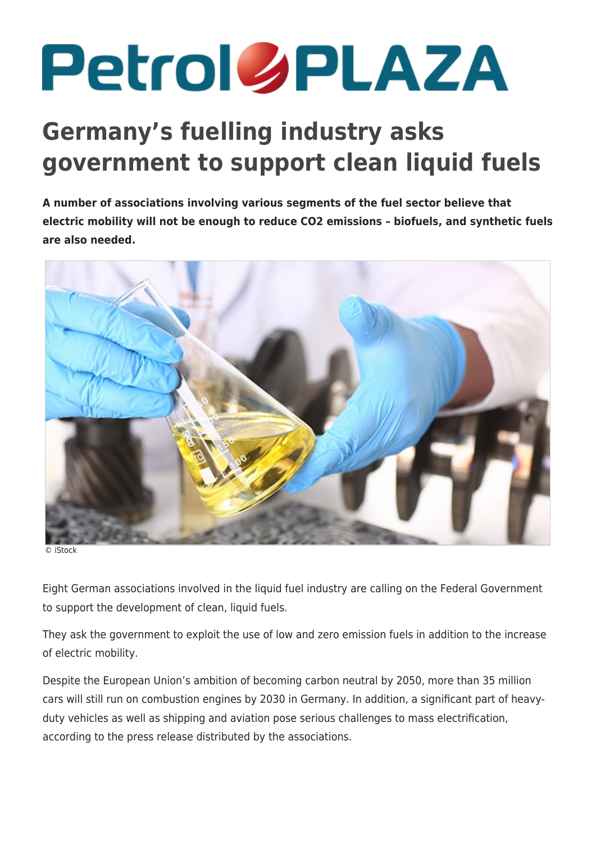## **Petrol SPLAZA**

## **Germany's fuelling industry asks government to support clean liquid fuels**

**A number of associations involving various segments of the fuel sector believe that electric mobility will not be enough to reduce CO2 emissions – biofuels, and synthetic fuels are also needed.**



© iStock

Eight German associations involved in the liquid fuel industry are calling on the Federal Government to support the development of clean, liquid fuels.

They ask the government to exploit the use of low and zero emission fuels in addition to the increase of electric mobility.

Despite the European Union's ambition of becoming carbon neutral by 2050, more than 35 million cars will still run on combustion engines by 2030 in Germany. In addition, a significant part of heavyduty vehicles as well as shipping and aviation pose serious challenges to mass electrification, according to the press release distributed by the associations.